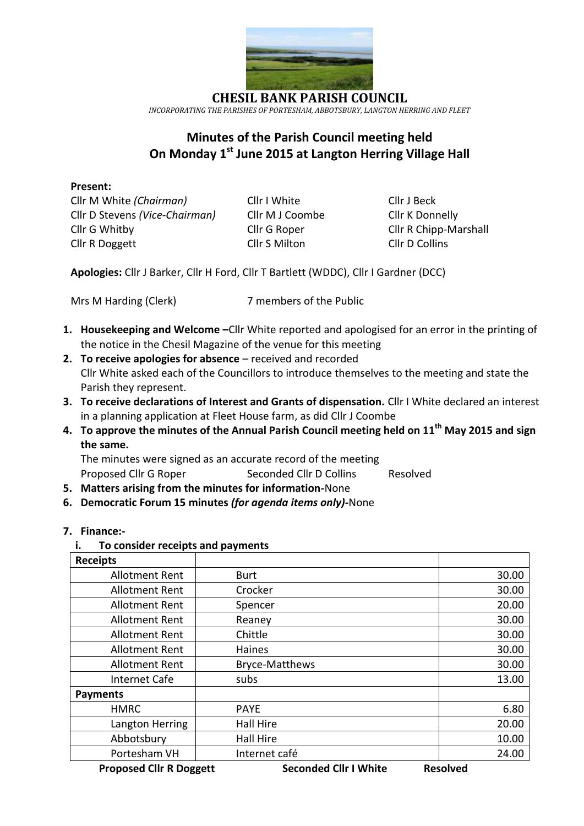

**CHESIL BANK PARISH COUNCIL** *INCORPORATING THE PARISHES OF PORTESHAM, ABBOTSBURY, LANGTON HERRING AND FLEET*

# **Minutes of the Parish Council meeting held On Monday 1 st June 2015 at Langton Herring Village Hall**

#### **Present:**

Cllr M White *(Chairman)* Cllr I White Cllr J Beck Cllr D Stevens *(Vice-Chairman)* Cllr M J Coombe Cllr K Donnelly Cllr G Whitby Cllr G Roper Cllr R Chipp-Marshall Cllr R Doggett Cllr S Milton Cllr D Collins

**Apologies:** Cllr J Barker, Cllr H Ford, Cllr T Bartlett (WDDC), Cllr I Gardner (DCC)

Mrs M Harding (Clerk) 7 members of the Public

- **1. Housekeeping and Welcome –**Cllr White reported and apologised for an error in the printing of the notice in the Chesil Magazine of the venue for this meeting
- **2. To receive apologies for absence** received and recorded Cllr White asked each of the Councillors to introduce themselves to the meeting and state the Parish they represent.
- **3. To receive declarations of Interest and Grants of dispensation.** Cllr I White declared an interest in a planning application at Fleet House farm, as did Cllr J Coombe
- **4. To approve the minutes of the Annual Parish Council meeting held on 11th May 2015 and sign the same.**

The minutes were signed as an accurate record of the meeting

Proposed Cllr G Roper Seconded Cllr D Collins Resolved

- **5. Matters arising from the minutes for information-**None
- **6. Democratic Forum 15 minutes** *(for agenda items only)-*None
- **7. Finance:** 
	- **i. To consider receipts and payments**

| <b>Receipts</b>       |                       |       |
|-----------------------|-----------------------|-------|
| <b>Allotment Rent</b> | <b>Burt</b>           | 30.00 |
| <b>Allotment Rent</b> | Crocker               | 30.00 |
| <b>Allotment Rent</b> | Spencer               | 20.00 |
| <b>Allotment Rent</b> | Reaney                | 30.00 |
| <b>Allotment Rent</b> | Chittle               | 30.00 |
| <b>Allotment Rent</b> | Haines                | 30.00 |
| <b>Allotment Rent</b> | <b>Bryce-Matthews</b> | 30.00 |
| Internet Cafe         | subs                  | 13.00 |
| <b>Payments</b>       |                       |       |
| <b>HMRC</b>           | <b>PAYE</b>           | 6.80  |
| Langton Herring       | <b>Hall Hire</b>      | 20.00 |
| Abbotsbury            | <b>Hall Hire</b>      | 10.00 |
| Portesham VH          | Internet café         | 24.00 |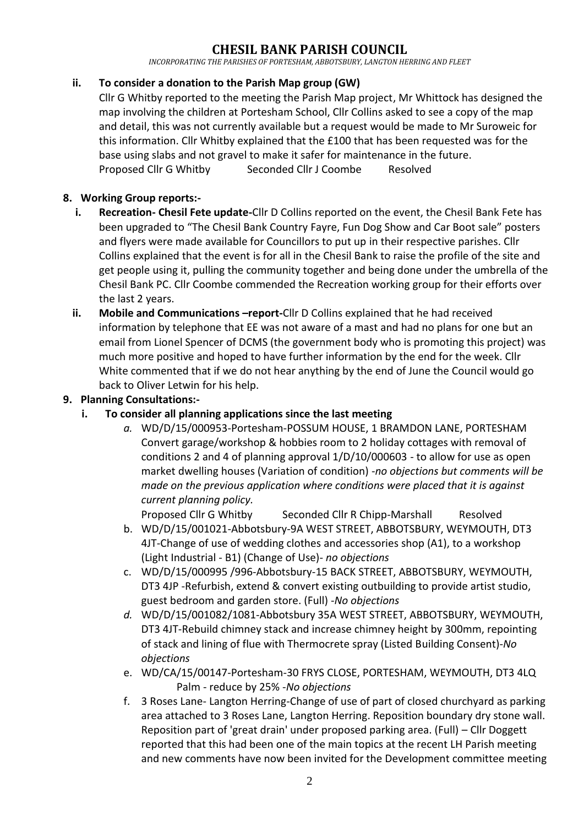## **CHESIL BANK PARISH COUNCIL**

*INCORPORATING THE PARISHES OF PORTESHAM, ABBOTSBURY, LANGTON HERRING AND FLEET*

#### **ii. To consider a donation to the Parish Map group (GW)**

Cllr G Whitby reported to the meeting the Parish Map project, Mr Whittock has designed the map involving the children at Portesham School, Cllr Collins asked to see a copy of the map and detail, this was not currently available but a request would be made to Mr Suroweic for this information. Cllr Whitby explained that the £100 that has been requested was for the base using slabs and not gravel to make it safer for maintenance in the future. Proposed Cllr G Whitby Seconded Cllr J Coombe Resolved

#### **8. Working Group reports:-**

- **i. Recreation- Chesil Fete update-**Cllr D Collins reported on the event, the Chesil Bank Fete has been upgraded to "The Chesil Bank Country Fayre, Fun Dog Show and Car Boot sale" posters and flyers were made available for Councillors to put up in their respective parishes. Cllr Collins explained that the event is for all in the Chesil Bank to raise the profile of the site and get people using it, pulling the community together and being done under the umbrella of the Chesil Bank PC. Cllr Coombe commended the Recreation working group for their efforts over the last 2 years.
- **ii.** Mobile and Communications -**report**-Cllr D Collins explained that he had received information by telephone that EE was not aware of a mast and had no plans for one but an email from Lionel Spencer of DCMS (the government body who is promoting this project) was much more positive and hoped to have further information by the end for the week. Cllr White commented that if we do not hear anything by the end of June the Council would go back to Oliver Letwin for his help.

#### **9. Planning Consultations:-**

- **i. To consider all planning applications since the last meeting** 
	- *a.* WD/D/15/000953-Portesham-POSSUM HOUSE, 1 BRAMDON LANE, PORTESHAM Convert garage/workshop & hobbies room to 2 holiday cottages with removal of conditions 2 and 4 of planning approval 1/D/10/000603 - to allow for use as open market dwelling houses (Variation of condition) -*no objections but comments will be made on the previous application where conditions were placed that it is against current planning policy.*

Proposed Cllr G Whitby Seconded Cllr R Chipp-Marshall Resolved

- b. WD/D/15/001021-Abbotsbury-9A WEST STREET, ABBOTSBURY, WEYMOUTH, DT3 4JT-Change of use of wedding clothes and accessories shop (A1), to a workshop (Light Industrial - B1) (Change of Use)- *no objections*
- c. WD/D/15/000995 /996-Abbotsbury-15 BACK STREET, ABBOTSBURY, WEYMOUTH, DT3 4JP -Refurbish, extend & convert existing outbuilding to provide artist studio, guest bedroom and garden store. (Full) -*No objections*
- *d.* WD/D/15/001082/1081-Abbotsbury 35A WEST STREET, ABBOTSBURY, WEYMOUTH, DT3 4JT-Rebuild chimney stack and increase chimney height by 300mm, repointing of stack and lining of flue with Thermocrete spray (Listed Building Consent)-*No objections*
- e. WD/CA/15/00147-Portesham-30 FRYS CLOSE, PORTESHAM, WEYMOUTH, DT3 4LQ Palm - reduce by 25% -*No objections*
- f. 3 Roses Lane- Langton Herring-Change of use of part of closed churchyard as parking area attached to 3 Roses Lane, Langton Herring. Reposition boundary dry stone wall. Reposition part of 'great drain' under proposed parking area. (Full) – Cllr Doggett reported that this had been one of the main topics at the recent LH Parish meeting and new comments have now been invited for the Development committee meeting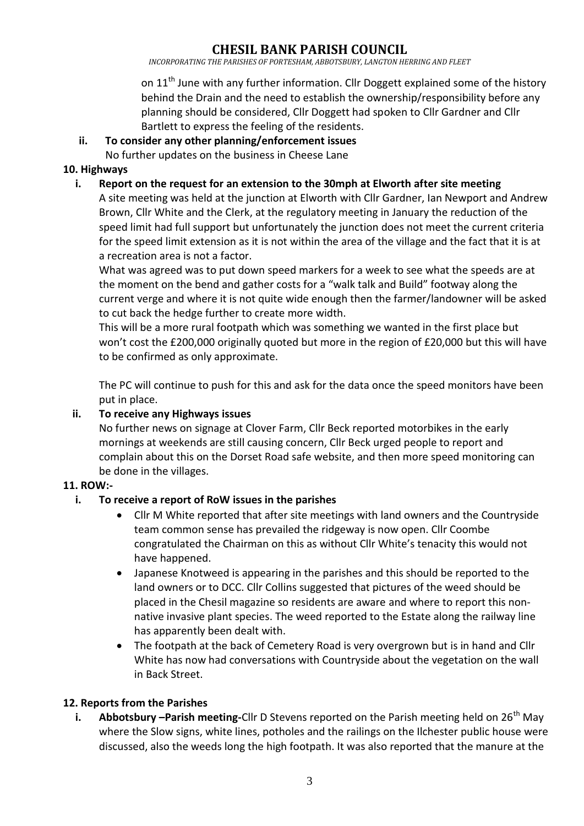# **CHESIL BANK PARISH COUNCIL**

*INCORPORATING THE PARISHES OF PORTESHAM, ABBOTSBURY, LANGTON HERRING AND FLEET*

on 11<sup>th</sup> June with any further information. Cllr Doggett explained some of the history behind the Drain and the need to establish the ownership/responsibility before any planning should be considered, Cllr Doggett had spoken to Cllr Gardner and Cllr Bartlett to express the feeling of the residents.

#### **ii. To consider any other planning/enforcement issues**

No further updates on the business in Cheese Lane

#### **10. Highways**

#### **i. Report on the request for an extension to the 30mph at Elworth after site meeting**

A site meeting was held at the junction at Elworth with Cllr Gardner, Ian Newport and Andrew Brown, Cllr White and the Clerk, at the regulatory meeting in January the reduction of the speed limit had full support but unfortunately the junction does not meet the current criteria for the speed limit extension as it is not within the area of the village and the fact that it is at a recreation area is not a factor.

What was agreed was to put down speed markers for a week to see what the speeds are at the moment on the bend and gather costs for a "walk talk and Build" footway along the current verge and where it is not quite wide enough then the farmer/landowner will be asked to cut back the hedge further to create more width.

This will be a more rural footpath which was something we wanted in the first place but won't cost the £200,000 originally quoted but more in the region of £20,000 but this will have to be confirmed as only approximate.

The PC will continue to push for this and ask for the data once the speed monitors have been put in place.

#### **ii. To receive any Highways issues**

No further news on signage at Clover Farm, Cllr Beck reported motorbikes in the early mornings at weekends are still causing concern, Cllr Beck urged people to report and complain about this on the Dorset Road safe website, and then more speed monitoring can be done in the villages.

### **11. ROW:-**

#### **i. To receive a report of RoW issues in the parishes**

- Cllr M White reported that after site meetings with land owners and the Countryside team common sense has prevailed the ridgeway is now open. Cllr Coombe congratulated the Chairman on this as without Cllr White's tenacity this would not have happened.
- Japanese Knotweed is appearing in the parishes and this should be reported to the land owners or to DCC. Cllr Collins suggested that pictures of the weed should be placed in the Chesil magazine so residents are aware and where to report this nonnative invasive plant species. The weed reported to the Estate along the railway line has apparently been dealt with.
- The footpath at the back of Cemetery Road is very overgrown but is in hand and Cllr White has now had conversations with Countryside about the vegetation on the wall in Back Street.

#### **12. Reports from the Parishes**

**i.** Abbotsbury –Parish meeting-Cllr D Stevens reported on the Parish meeting held on 26<sup>th</sup> May where the Slow signs, white lines, potholes and the railings on the Ilchester public house were discussed, also the weeds long the high footpath. It was also reported that the manure at the